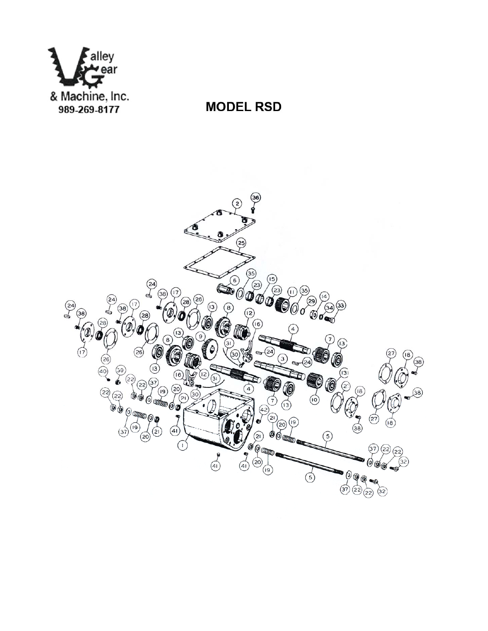

## **MODEL RSD**

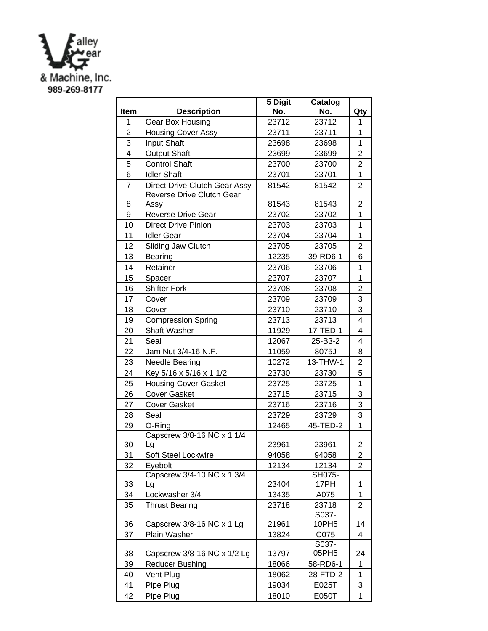

|                |                                       | 5 Digit | Catalog        |                |
|----------------|---------------------------------------|---------|----------------|----------------|
| Item           | <b>Description</b>                    | No.     | No.            | Qty            |
| 1              | <b>Gear Box Housing</b>               | 23712   | 23712          | 1              |
| $\overline{2}$ | <b>Housing Cover Assy</b>             | 23711   | 23711          | 1              |
| 3              | Input Shaft                           | 23698   | 23698          | $\mathbf{1}$   |
| 4              | <b>Output Shaft</b>                   | 23699   | 23699          | $\overline{2}$ |
| 5              | <b>Control Shaft</b>                  | 23700   | 23700          | $\overline{2}$ |
| 6              | <b>Idler Shaft</b>                    | 23701   | 23701          | 1              |
| $\overline{7}$ | Direct Drive Clutch Gear Assy         | 81542   | 81542          | $\overline{2}$ |
|                | <b>Reverse Drive Clutch Gear</b>      |         |                |                |
| 8              | Assy                                  | 81543   | 81543          | $\overline{2}$ |
| 9              | <b>Reverse Drive Gear</b>             | 23702   | 23702          | $\overline{1}$ |
| 10             | <b>Direct Drive Pinion</b>            | 23703   | 23703          | 1              |
| 11             | <b>Idler Gear</b>                     | 23704   | 23704          | $\overline{1}$ |
| 12             | Sliding Jaw Clutch                    | 23705   | 23705          | $\overline{2}$ |
| 13             | Bearing                               | 12235   | 39-RD6-1       | 6              |
| 14             | Retainer                              | 23706   | 23706          | 1              |
| 15             | Spacer                                | 23707   | 23707          | $\overline{1}$ |
| 16             | <b>Shifter Fork</b>                   | 23708   | 23708          | $\overline{2}$ |
| 17             | Cover                                 | 23709   | 23709          | 3              |
| 18             | Cover                                 | 23710   | 23710          | 3              |
| 19             | <b>Compression Spring</b>             | 23713   | 23713          | 4              |
| 20             | <b>Shaft Washer</b>                   | 11929   | 17-TED-1       | $\overline{4}$ |
| 21             | Seal                                  | 12067   | 25-B3-2        | 4              |
| 22             | Jam Nut 3/4-16 N.F.                   | 11059   | 8075J          | 8              |
| 23             | <b>Needle Bearing</b>                 | 10272   | 13-THW-1       | $\overline{2}$ |
| 24             | Key 5/16 x 5/16 x 1 1/2               | 23730   | 23730          | 5              |
| 25             | <b>Housing Cover Gasket</b>           | 23725   | 23725          | $\mathbf{1}$   |
| 26             | <b>Cover Gasket</b>                   | 23715   | 23715          | 3              |
| 27             | <b>Cover Gasket</b>                   | 23716   | 23716          | 3              |
| 28             | Seal                                  | 23729   | 23729          | 3              |
| 29             | O-Ring                                | 12465   | 45-TED-2       | 1              |
|                | Capscrew 3/8-16 NC x 1 1/4            |         |                |                |
| 30             | Lg                                    | 23961   | 23961          | 2              |
| 31             | Soft Steel Lockwire                   | 94058   | 94058          | $\overline{2}$ |
| 32             | Eyebolt<br>Capscrew 3/4-10 NC x 1 3/4 | 12134   | 12134          | $\overline{2}$ |
| 33             | Lg                                    | 23404   | SH075-<br>17PH | 1              |
| 34             | Lockwasher 3/4                        | 13435   | A075           | 1              |
| 35             | <b>Thrust Bearing</b>                 | 23718   | 23718          | 2              |
|                |                                       |         | S037-          |                |
| 36             | Capscrew 3/8-16 NC x 1 Lg             | 21961   | 10PH5          | 14             |
| 37             | Plain Washer                          | 13824   | C075           | 4              |
|                |                                       |         | S037-          |                |
| 38             | Capscrew 3/8-16 NC x 1/2 Lg           | 13797   | 05PH5          | 24             |
| 39             | <b>Reducer Bushing</b>                | 18066   | 58-RD6-1       | 1              |
| 40             | Vent Plug                             | 18062   | 28-FTD-2       | 1              |
| 41             | Pipe Plug                             | 19034   | E025T          | 3              |
| 42             | Pipe Plug                             | 18010   | E050T          | 1              |